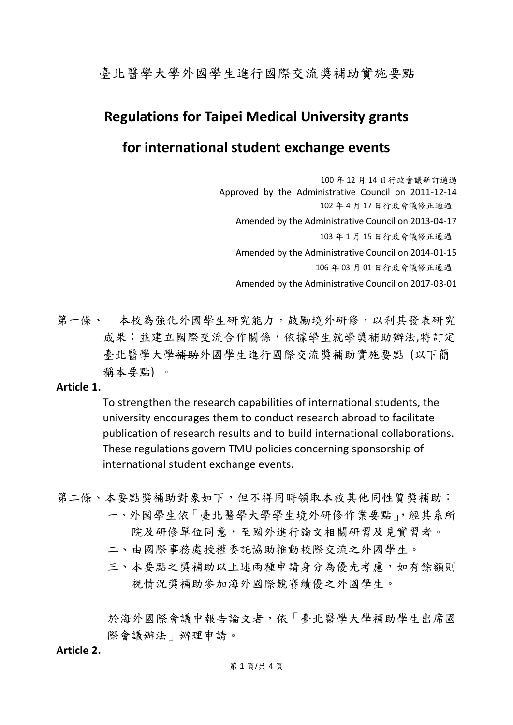臺北醫學大學外國學生進行國際交流獎補助實施要點

# **Regulations for Taipei Medical University grants**

## **for international student exchange events**

100 年 12 月 14 日行政會議新訂通過 Approved by the Administrative Council on 2011-12-14 102 年 4 月 17 日行政會議修正通過 Amended by the Administrative Council on 2013-04-17 103 年 1 月 15 日行政會議修正通過 Amended by the Administrative Council on 2014-01-15 106 年 03 月 01 日行政會議修正通過 Amended by the Administrative Council on 2017-03-01

第一條、 本校為強化外國學生研究能力,鼓勵境外研修,以利其發表研究 成果;並建立國際交流合作關係,依據學生就學獎補助辦法,特訂定 臺北醫學大學補助外國學生進行國際交流獎補助實施要點 (以下簡 稱本要點) 。

#### **Article 1.**

To strengthen the research capabilities of international students, the university encourages them to conduct research abroad to facilitate publication of research results and to build international collaborations. These regulations govern TMU policies concerning sponsorship of international student exchange events.

- 第二條、本要點獎補助對象如下,但不得同時領取本校其他同性質獎補助:
	- 一、外國學生依「臺北醫學大學學生境外研修作業要點」,經其系所 院及研修單位同意,至國外進行論文相關研習及見實習者。
	- 二、由國際事務處授權委託協助推動校際交流之外國學生。
	- 三、本要點之獎補助以上述兩種申請身分為優先考慮,如有餘額則 視情況獎補助參加海外國際競賽績優之外國學生。

於海外國際會議中報告論文者,依「臺北醫學大學補助學生出席國 際會議辦法」辦理申請。

### **Article 2.**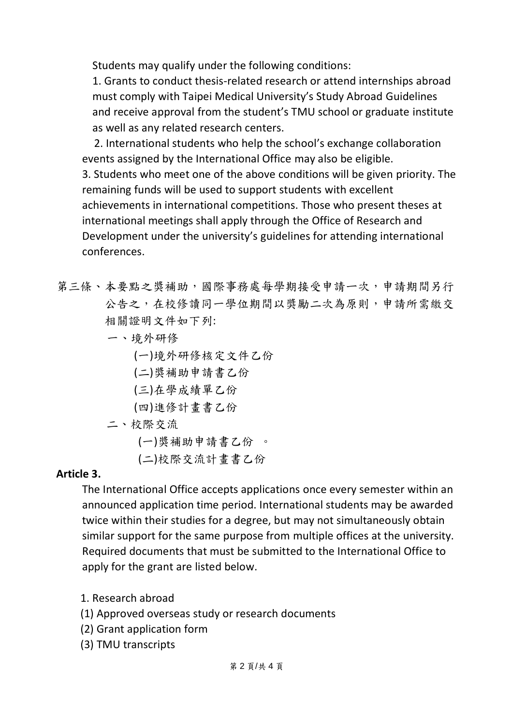Students may qualify under the following conditions:

1. Grants to conduct thesis‐related research or attend internships abroad must comply with Taipei Medical University's Study Abroad Guidelines and receive approval from the student's TMU school or graduate institute as well as any related research centers.

2. International students who help the school's exchange collaboration events assigned by the International Office may also be eligible. 3. Students who meet one of the above conditions will be given priority. The remaining funds will be used to support students with excellent achievements in international competitions. Those who present theses at international meetings shall apply through the Office of Research and Development under the university's guidelines for attending international

conferences.

- 第三條、本要點之獎補助,國際事務處每學期接受申請一次,申請期間另行 公告之,在校修讀同一學位期間以獎勵二次為原則,申請所需繳交 相關證明文件如下列:
	- 一、境外研修
		- (一)境外研修核定文件乙份
		- (二)獎補助申請書乙份
		- (三)在學成績單乙份
		- (四)進修計畫書乙份
	- 二、校際交流

(一)獎補助申請書乙份 。

(二)校際交流計畫書乙份

### **Article 3.**

The International Office accepts applications once every semester within an announced application time period. International students may be awarded twice within their studies for a degree, but may not simultaneously obtain similar support for the same purpose from multiple offices at the university. Required documents that must be submitted to the International Office to apply for the grant are listed below.

- 1. Research abroad
- (1) Approved overseas study or research documents
- (2) Grant application form
- (3) TMU transcripts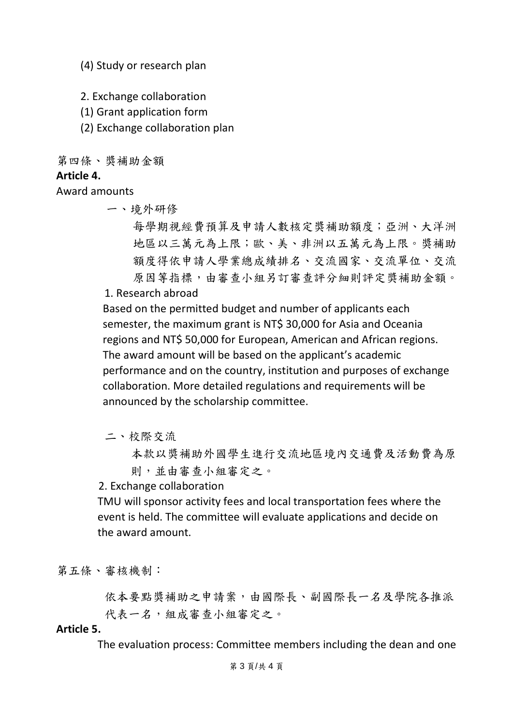(4) Study or research plan

2. Exchange collaboration

(1) Grant application form

(2) Exchange collaboration plan

第四條、獎補助金額

### **Article 4.**

Award amounts

一、境外研修

每學期視經費預算及申請人數核定獎補助額度;亞洲、大洋洲 地區以三萬元為上限;歐、美、非洲以五萬元為上限。獎補助 額度得依申請人學業總成績排名、交流國家、交流單位、交流 原因等指標,由審查小組另訂審查評分細則評定獎補助金額。

1. Research abroad

Based on the permitted budget and number of applicants each semester, the maximum grant is NT\$ 30,000 for Asia and Oceania regions and NT\$ 50,000 for European, American and African regions. The award amount will be based on the applicant's academic performance and on the country, institution and purposes of exchange collaboration. More detailed regulations and requirements will be announced by the scholarship committee.

二、校際交流

本款以獎補助外國學生進行交流地區境內交通費及活動費為原 則,並由審查小組審定之。

2. Exchange collaboration

TMU will sponsor activity fees and local transportation fees where the event is held. The committee will evaluate applications and decide on the award amount.

第五條、審核機制:

 依本要點獎補助之申請案,由國際長、副國際長一名及學院各推派 代表一名,組成審查小組審定之。

#### **Article 5.**

The evaluation process: Committee members including the dean and one